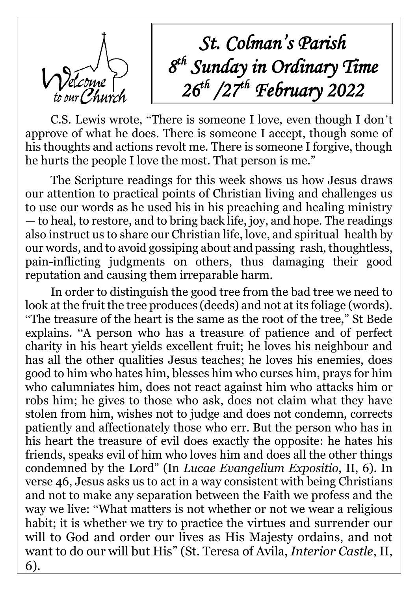

*St. Colman's Parish 8 th Sunday in Ordinary Time 26th /27 th February 2022*

C.S. Lewis wrote, "There is someone I love, even though I don't approve of what he does. There is someone I accept, though some of his thoughts and actions revolt me. There is someone I forgive, though he hurts the people I love the most. That person is me."

The Scripture readings for this week shows us how Jesus draws our attention to practical points of Christian living and challenges us to use our words as he used his in his preaching and healing ministry — to heal, to restore, and to bring back life, joy, and hope. The readings also instruct us to share our Christian life, love, and spiritual health by our words, and to avoid gossiping about and passing rash, thoughtless, pain-inflicting judgments on others, thus damaging their good reputation and causing them irreparable harm.

In order to distinguish the good tree from the bad tree we need to look at the fruit the tree produces (deeds) and not at its foliage (words). "The treasure of the heart is the same as the root of the tree," St Bede explains. "A person who has a treasure of patience and of perfect charity in his heart yields excellent fruit; he loves his neighbour and has all the other qualities Jesus teaches; he loves his enemies, does good to him who hates him, blesses him who curses him, prays for him who calumniates him, does not react against him who attacks him or robs him; he gives to those who ask, does not claim what they have stolen from him, wishes not to judge and does not condemn, corrects patiently and affectionately those who err. But the person who has in his heart the treasure of evil does exactly the opposite: he hates his friends, speaks evil of him who loves him and does all the other things condemned by the Lord" (In *Lucae Evangelium Expositio*, II, 6). In verse 46, Jesus asks us to act in a way consistent with being Christians and not to make any separation between the Faith we profess and the way we live: "What matters is not whether or not we wear a religious habit; it is whether we try to practice the virtues and surrender our will to God and order our lives as His Majesty ordains, and not want to do our will but His" (St. Teresa of Avila, *Interior Castle*, II, 6).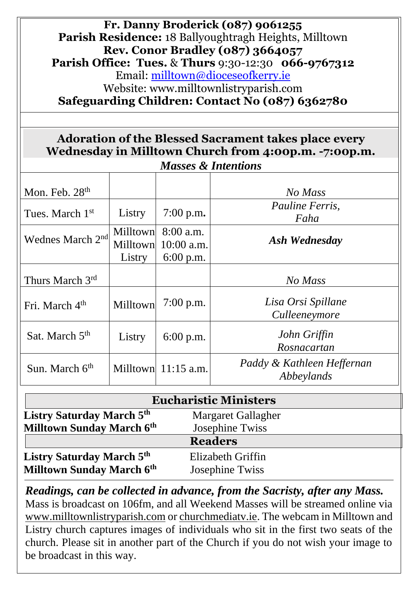| Fr. Danny Broderick (087) 9061255<br><b>Parish Residence: 18 Ballyoughtragh Heights, Milltown</b><br><b>Rev. Conor Bradley (087) 3664057</b><br><b>Parish Office: Tues. &amp; Thurs 9:30-12:30 066-9767312</b><br>Email: milltown@dioceseofkerry.ie<br>Website: www.milltownlistryparish.com<br>Safeguarding Children: Contact No (087) 6362780 |                           |                                                     |                                          |  |
|-------------------------------------------------------------------------------------------------------------------------------------------------------------------------------------------------------------------------------------------------------------------------------------------------------------------------------------------------|---------------------------|-----------------------------------------------------|------------------------------------------|--|
| <b>Adoration of the Blessed Sacrament takes place every</b><br>Wednesday in Milltown Church from 4:00p.m. -7:00p.m.<br><b>Masses &amp; Intentions</b>                                                                                                                                                                                           |                           |                                                     |                                          |  |
| Mon. Feb. $28th$                                                                                                                                                                                                                                                                                                                                |                           |                                                     | No Mass                                  |  |
| Tues. March 1 <sup>st</sup>                                                                                                                                                                                                                                                                                                                     | Listry                    | $7:00$ p.m.                                         | Pauline Ferris,<br>Faha                  |  |
| Wednes March 2 <sup>nd</sup>                                                                                                                                                                                                                                                                                                                    | <b>Milltown</b><br>Listry | Milltown $8:00$ a.m.<br>$10:00$ a.m.<br>$6:00$ p.m. | Ash Wednesday                            |  |
| Thurs March 3rd                                                                                                                                                                                                                                                                                                                                 |                           |                                                     | No Mass                                  |  |
| Fri. March 4 <sup>th</sup>                                                                                                                                                                                                                                                                                                                      | Milltown                  | $7:00$ p.m.                                         | Lisa Orsi Spillane<br>Culleeneymore      |  |
| Sat. March 5 <sup>th</sup>                                                                                                                                                                                                                                                                                                                      | Listry $\vert$            | 6:00 p.m.                                           | John Griffin<br>Rosnacartan              |  |
| Sun. March 6 <sup>th</sup>                                                                                                                                                                                                                                                                                                                      |                           | Milltown $11:15$ a.m.                               | Paddy & Kathleen Heffernan<br>Abbeylands |  |

| <b>Eucharistic Ministers</b>                                         |                                             |  |  |  |
|----------------------------------------------------------------------|---------------------------------------------|--|--|--|
| <b>Listry Saturday March 5th</b>                                     | Margaret Gallagher                          |  |  |  |
| <b>Milltown Sunday March 6th</b>                                     | Josephine Twiss                             |  |  |  |
|                                                                      | <b>Readers</b>                              |  |  |  |
| <b>Listry Saturday March 5th</b><br><b>Milltown Sunday March 6th</b> | Elizabeth Griffin<br><b>Josephine Twiss</b> |  |  |  |

*Readings, can be collected in advance, from the Sacristy, after any Mass.* Mass is broadcast on 106fm, and all Weekend Masses will be streamed online via [www.milltownlistryparish.com](http://www.milltownlistryparish.com/) or churchmediatv.ie. The webcam in Milltown and Listry church captures images of individuals who sit in the first two seats of the church. Please sit in another part of the Church if you do not wish your image to be broadcast in this way.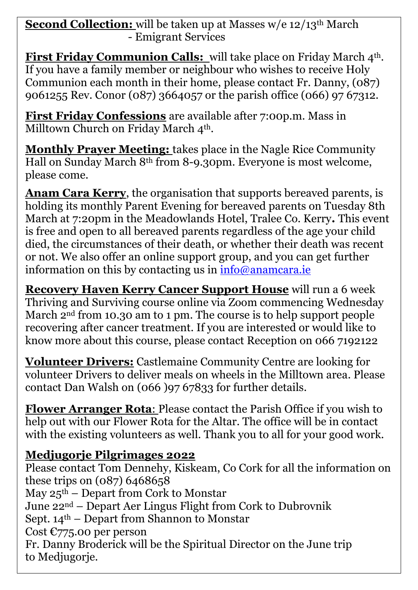**Second Collection:** will be taken up at Masses w/e 12/13<sup>th</sup> March - Emigrant Services

**First Friday Communion Calls:** will take place on Friday March 4<sup>th</sup>. If you have a family member or neighbour who wishes to receive Holy Communion each month in their home, please contact Fr. Danny, (087) 9061255 Rev. Conor (087) 3664057 or the parish office (066) 97 67312.

**First Friday Confessions** are available after 7:00p.m. Mass in Milltown Church on Friday March 4<sup>th</sup>.

**Monthly Prayer Meeting:** takes place in the Nagle Rice Community Hall on Sunday March 8th from 8-9.30pm. Everyone is most welcome, please come.

**Anam Cara Kerry**, the organisation that supports bereaved parents, is holding its monthly Parent Evening for bereaved parents on Tuesday 8th March at 7:20pm in the Meadowlands Hotel, Tralee Co. Kerry**.** This event is free and open to all bereaved parents regardless of the age your child died, the circumstances of their death, or whether their death was recent or not. We also offer an online support group, and you can get further information on this by contacting us in  $info@anamcara.e$ 

**Recovery Haven Kerry Cancer Support House** will run a 6 week Thriving and Surviving course online via Zoom commencing Wednesday March 2<sup>nd</sup> from 10.30 am to 1 pm. The course is to help support people recovering after cancer treatment. If you are interested or would like to know more about this course, please contact Reception on 066 7192122

**Volunteer Drivers:** Castlemaine Community Centre are looking for volunteer Drivers to deliver meals on wheels in the Milltown area. Please contact Dan Walsh on (066 )97 67833 for further details.

**Flower Arranger Rota**: Please contact the Parish Office if you wish to help out with our Flower Rota for the Altar. The office will be in contact with the existing volunteers as well. Thank you to all for your good work.

## **Medjugorje Pilgrimages 2022**

Please contact Tom Dennehy, Kiskeam, Co Cork for all the information on these trips on (087) 6468658 May  $25<sup>th</sup>$  – Depart from Cork to Monstar June 22nd – Depart Aer Lingus Flight from Cork to Dubrovnik Sept.  $14<sup>th</sup>$  – Depart from Shannon to Monstar Cost  $C775.00$  per person Fr. Danny Broderick will be the Spiritual Director on the June trip to Medjugorje.